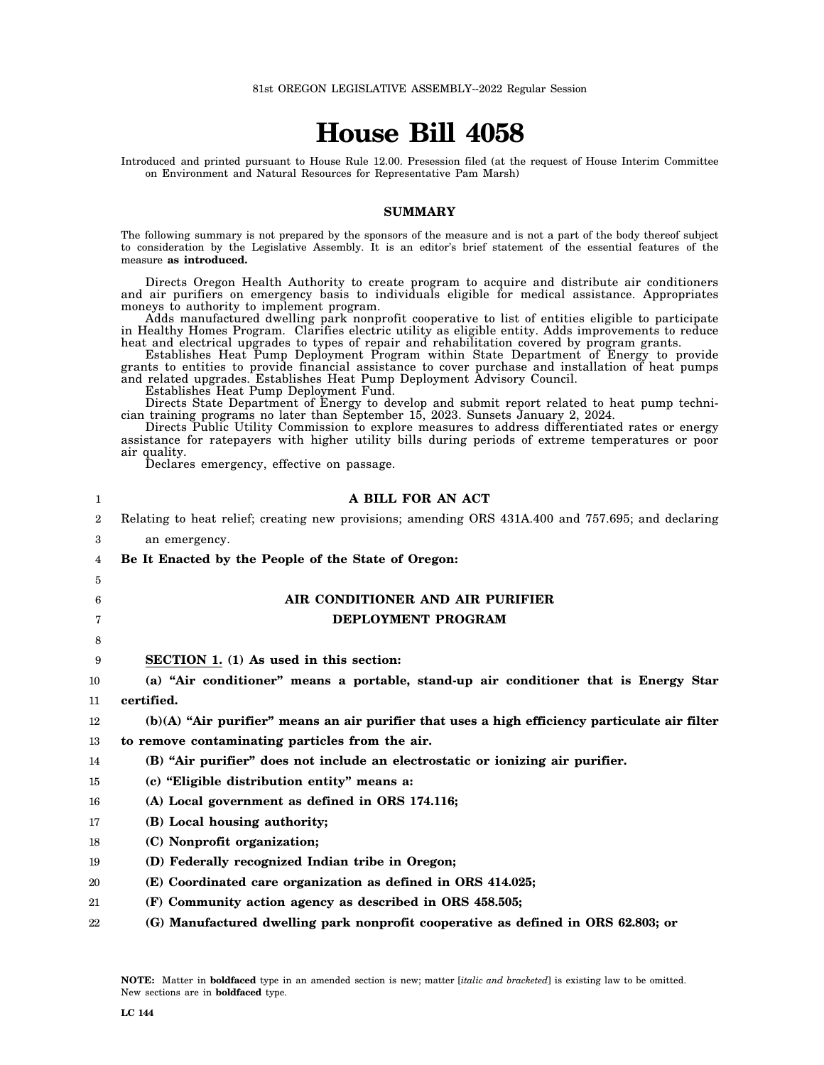# **House Bill 4058**

Introduced and printed pursuant to House Rule 12.00. Presession filed (at the request of House Interim Committee on Environment and Natural Resources for Representative Pam Marsh)

### **SUMMARY**

The following summary is not prepared by the sponsors of the measure and is not a part of the body thereof subject to consideration by the Legislative Assembly. It is an editor's brief statement of the essential features of the measure **as introduced.**

Directs Oregon Health Authority to create program to acquire and distribute air conditioners and air purifiers on emergency basis to individuals eligible for medical assistance. Appropriates moneys to authority to implement program.

Adds manufactured dwelling park nonprofit cooperative to list of entities eligible to participate in Healthy Homes Program. Clarifies electric utility as eligible entity. Adds improvements to reduce heat and electrical upgrades to types of repair and rehabilitation covered by program grants.

Establishes Heat Pump Deployment Program within State Department of Energy to provide grants to entities to provide financial assistance to cover purchase and installation of heat pumps and related upgrades. Establishes Heat Pump Deployment Advisory Council.

Establishes Heat Pump Deployment Fund.

Directs State Department of Energy to develop and submit report related to heat pump technician training programs no later than September 15, 2023. Sunsets January 2, 2024.

Directs Public Utility Commission to explore measures to address differentiated rates or energy assistance for ratepayers with higher utility bills during periods of extreme temperatures or poor air quality.

Declares emergency, effective on passage.

| 1  | A BILL FOR AN ACT                                                                                  |
|----|----------------------------------------------------------------------------------------------------|
| 2  | Relating to heat relief; creating new provisions; amending ORS 431A.400 and 757.695; and declaring |
| 3  | an emergency.                                                                                      |
| 4  | Be It Enacted by the People of the State of Oregon:                                                |
| 5  |                                                                                                    |
| 6  | AIR CONDITIONER AND AIR PURIFIER                                                                   |
| 7  | <b>DEPLOYMENT PROGRAM</b>                                                                          |
| 8  |                                                                                                    |
| 9  | <b>SECTION 1.</b> (1) As used in this section:                                                     |
| 10 | (a) "Air conditioner" means a portable, stand-up air conditioner that is Energy Star               |
| 11 | certified.                                                                                         |
| 12 | (b)(A) "Air purifier" means an air purifier that uses a high efficiency particulate air filter     |
| 13 | to remove contaminating particles from the air.                                                    |
| 14 | (B) "Air purifier" does not include an electrostatic or ionizing air purifier.                     |
| 15 | (c) "Eligible distribution entity" means a:                                                        |
| 16 | (A) Local government as defined in ORS 174.116;                                                    |
| 17 | (B) Local housing authority;                                                                       |
| 18 | (C) Nonprofit organization;                                                                        |
| 19 | (D) Federally recognized Indian tribe in Oregon;                                                   |
| 20 | (E) Coordinated care organization as defined in ORS 414.025;                                       |
| 21 | (F) Community action agency as described in ORS 458.505;                                           |
| 22 | (G) Manufactured dwelling park nonprofit cooperative as defined in ORS 62.803; or                  |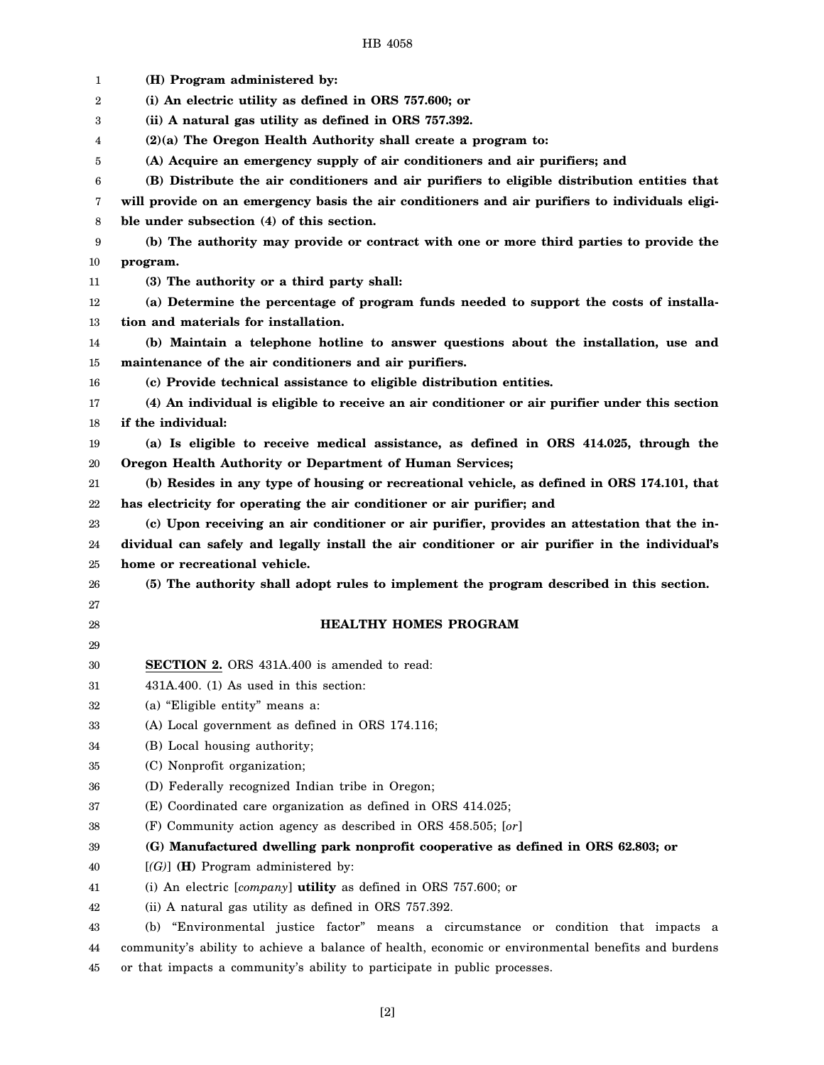1 2 3 4 5 6 7 8 9 10 11 12 13 14 15 16 17 18 19 20 21 22 23 24 25 26 27 28 29 30 31 32 33 34 35 36 37 38 39 40 41 42 43 44 **(H) Program administered by: (i) An electric utility as defined in ORS 757.600; or (ii) A natural gas utility as defined in ORS 757.392. (2)(a) The Oregon Health Authority shall create a program to: (A) Acquire an emergency supply of air conditioners and air purifiers; and (B) Distribute the air conditioners and air purifiers to eligible distribution entities that will provide on an emergency basis the air conditioners and air purifiers to individuals eligible under subsection (4) of this section. (b) The authority may provide or contract with one or more third parties to provide the program. (3) The authority or a third party shall: (a) Determine the percentage of program funds needed to support the costs of installation and materials for installation. (b) Maintain a telephone hotline to answer questions about the installation, use and maintenance of the air conditioners and air purifiers. (c) Provide technical assistance to eligible distribution entities. (4) An individual is eligible to receive an air conditioner or air purifier under this section if the individual: (a) Is eligible to receive medical assistance, as defined in ORS 414.025, through the Oregon Health Authority or Department of Human Services; (b) Resides in any type of housing or recreational vehicle, as defined in ORS 174.101, that has electricity for operating the air conditioner or air purifier; and (c) Upon receiving an air conditioner or air purifier, provides an attestation that the individual can safely and legally install the air conditioner or air purifier in the individual's home or recreational vehicle. (5) The authority shall adopt rules to implement the program described in this section. HEALTHY HOMES PROGRAM SECTION 2.** ORS 431A.400 is amended to read: 431A.400. (1) As used in this section: (a) "Eligible entity" means a: (A) Local government as defined in ORS 174.116; (B) Local housing authority; (C) Nonprofit organization; (D) Federally recognized Indian tribe in Oregon; (E) Coordinated care organization as defined in ORS 414.025; (F) Community action agency as described in ORS 458.505; [*or*] **(G) Manufactured dwelling park nonprofit cooperative as defined in ORS 62.803; or** [*(G)*] **(H)** Program administered by: (i) An electric [*company*] **utility** as defined in ORS 757.600; or (ii) A natural gas utility as defined in ORS 757.392. (b) "Environmental justice factor" means a circumstance or condition that impacts a community's ability to achieve a balance of health, economic or environmental benefits and burdens

45 or that impacts a community's ability to participate in public processes.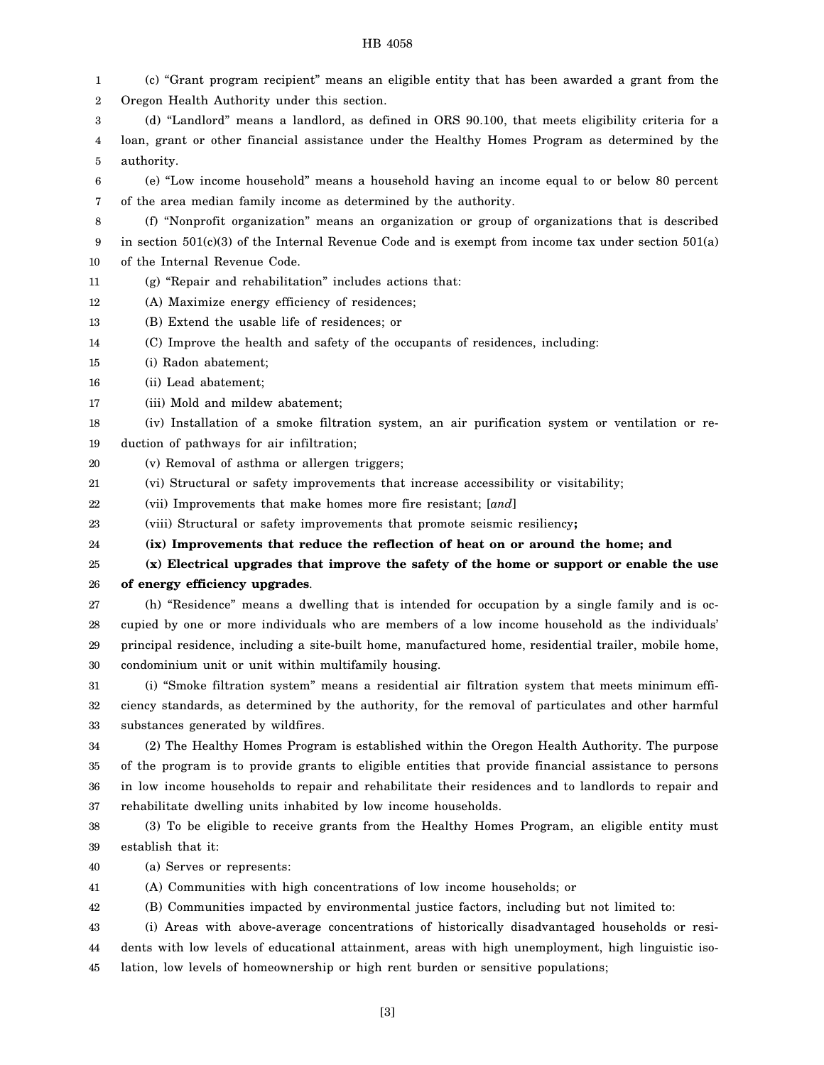(c) "Grant program recipient" means an eligible entity that has been awarded a grant from the

- 2 3 4 5 6 7 8 9 Oregon Health Authority under this section. (d) "Landlord" means a landlord, as defined in ORS 90.100, that meets eligibility criteria for a loan, grant or other financial assistance under the Healthy Homes Program as determined by the authority. (e) "Low income household" means a household having an income equal to or below 80 percent of the area median family income as determined by the authority. (f) "Nonprofit organization" means an organization or group of organizations that is described in section  $501(c)(3)$  of the Internal Revenue Code and is exempt from income tax under section  $501(a)$ 
	- 10 of the Internal Revenue Code.
	- 11 (g) "Repair and rehabilitation" includes actions that:
	- 12 (A) Maximize energy efficiency of residences;
	- 13 (B) Extend the usable life of residences; or
	- 14 (C) Improve the health and safety of the occupants of residences, including:
	- 15 (i) Radon abatement;

1

- 16 (ii) Lead abatement;
- 17 (iii) Mold and mildew abatement;
- 18 (iv) Installation of a smoke filtration system, an air purification system or ventilation or re-
- 19 duction of pathways for air infiltration;
- 20 (v) Removal of asthma or allergen triggers;
- 21 (vi) Structural or safety improvements that increase accessibility or visitability;
- 22 (vii) Improvements that make homes more fire resistant; [*and*]
- 23 (viii) Structural or safety improvements that promote seismic resiliency**;**
- 24 **(ix) Improvements that reduce the reflection of heat on or around the home; and**
- 25 26 **(x) Electrical upgrades that improve the safety of the home or support or enable the use of energy efficiency upgrades**.
- 27 28 29 30 (h) "Residence" means a dwelling that is intended for occupation by a single family and is occupied by one or more individuals who are members of a low income household as the individuals' principal residence, including a site-built home, manufactured home, residential trailer, mobile home, condominium unit or unit within multifamily housing.
- 31 32 33 (i) "Smoke filtration system" means a residential air filtration system that meets minimum efficiency standards, as determined by the authority, for the removal of particulates and other harmful substances generated by wildfires.
- 34 35 36 37 (2) The Healthy Homes Program is established within the Oregon Health Authority. The purpose of the program is to provide grants to eligible entities that provide financial assistance to persons in low income households to repair and rehabilitate their residences and to landlords to repair and rehabilitate dwelling units inhabited by low income households.
- 38 39 (3) To be eligible to receive grants from the Healthy Homes Program, an eligible entity must establish that it:
- 40 (a) Serves or represents:
- 41 (A) Communities with high concentrations of low income households; or
- 42 (B) Communities impacted by environmental justice factors, including but not limited to:
- 43 (i) Areas with above-average concentrations of historically disadvantaged households or resi-
- 44 45 dents with low levels of educational attainment, areas with high unemployment, high linguistic isolation, low levels of homeownership or high rent burden or sensitive populations;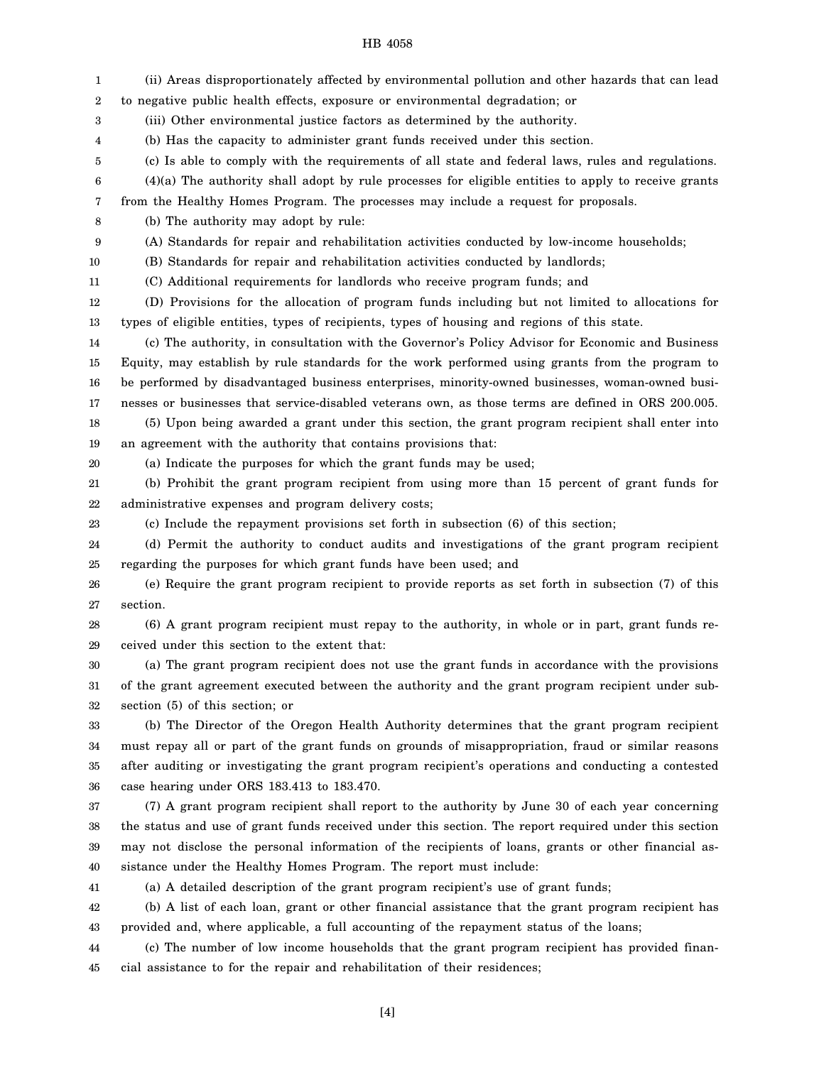| 1  | (ii) Areas disproportionately affected by environmental pollution and other hazards that can lead     |
|----|-------------------------------------------------------------------------------------------------------|
| 2  | to negative public health effects, exposure or environmental degradation; or                          |
| 3  | (iii) Other environmental justice factors as determined by the authority.                             |
| 4  | (b) Has the capacity to administer grant funds received under this section.                           |
| 5  | (c) Is able to comply with the requirements of all state and federal laws, rules and regulations.     |
| 6  | $(4)(a)$ The authority shall adopt by rule processes for eligible entities to apply to receive grants |
| 7  | from the Healthy Homes Program. The processes may include a request for proposals.                    |
| 8  | (b) The authority may adopt by rule:                                                                  |
| 9  | (A) Standards for repair and rehabilitation activities conducted by low-income households;            |
| 10 | (B) Standards for repair and rehabilitation activities conducted by landlords;                        |
| 11 | (C) Additional requirements for landlords who receive program funds; and                              |
| 12 | (D) Provisions for the allocation of program funds including but not limited to allocations for       |
| 13 | types of eligible entities, types of recipients, types of housing and regions of this state.          |
| 14 | (c) The authority, in consultation with the Governor's Policy Advisor for Economic and Business       |
| 15 | Equity, may establish by rule standards for the work performed using grants from the program to       |
| 16 | be performed by disadvantaged business enterprises, minority-owned businesses, woman-owned busi-      |
| 17 | nesses or businesses that service-disabled veterans own, as those terms are defined in ORS 200.005.   |
| 18 | (5) Upon being awarded a grant under this section, the grant program recipient shall enter into       |
| 19 | an agreement with the authority that contains provisions that:                                        |
| 20 | (a) Indicate the purposes for which the grant funds may be used;                                      |
| 21 | (b) Prohibit the grant program recipient from using more than 15 percent of grant funds for           |
| 22 | administrative expenses and program delivery costs;                                                   |
| 23 | (c) Include the repayment provisions set forth in subsection (6) of this section;                     |
| 24 | (d) Permit the authority to conduct audits and investigations of the grant program recipient          |
| 25 | regarding the purposes for which grant funds have been used; and                                      |
| 26 | (e) Require the grant program recipient to provide reports as set forth in subsection (7) of this     |
| 27 | section.                                                                                              |
| 28 | (6) A grant program recipient must repay to the authority, in whole or in part, grant funds re-       |
| 29 | ceived under this section to the extent that:                                                         |
| 30 | (a) The grant program recipient does not use the grant funds in accordance with the provisions        |
| 31 | of the grant agreement executed between the authority and the grant program recipient under sub-      |
| 32 | section (5) of this section; or                                                                       |
| 33 | (b) The Director of the Oregon Health Authority determines that the grant program recipient           |
| 34 | must repay all or part of the grant funds on grounds of misappropriation, fraud or similar reasons    |
| 35 | after auditing or investigating the grant program recipient's operations and conducting a contested   |
| 36 | case hearing under ORS 183.413 to 183.470.                                                            |
| 37 | (7) A grant program recipient shall report to the authority by June 30 of each year concerning        |
| 38 | the status and use of grant funds received under this section. The report required under this section |
| 39 | may not disclose the personal information of the recipients of loans, grants or other financial as-   |
| 40 | sistance under the Healthy Homes Program. The report must include:                                    |
| 41 | (a) A detailed description of the grant program recipient's use of grant funds;                       |
| 42 | (b) A list of each loan, grant or other financial assistance that the grant program recipient has     |
| 43 | provided and, where applicable, a full accounting of the repayment status of the loans;               |
| 44 | (c) The number of low income households that the grant program recipient has provided finan-          |
| 45 | cial assistance to for the repair and rehabilitation of their residences;                             |
|    |                                                                                                       |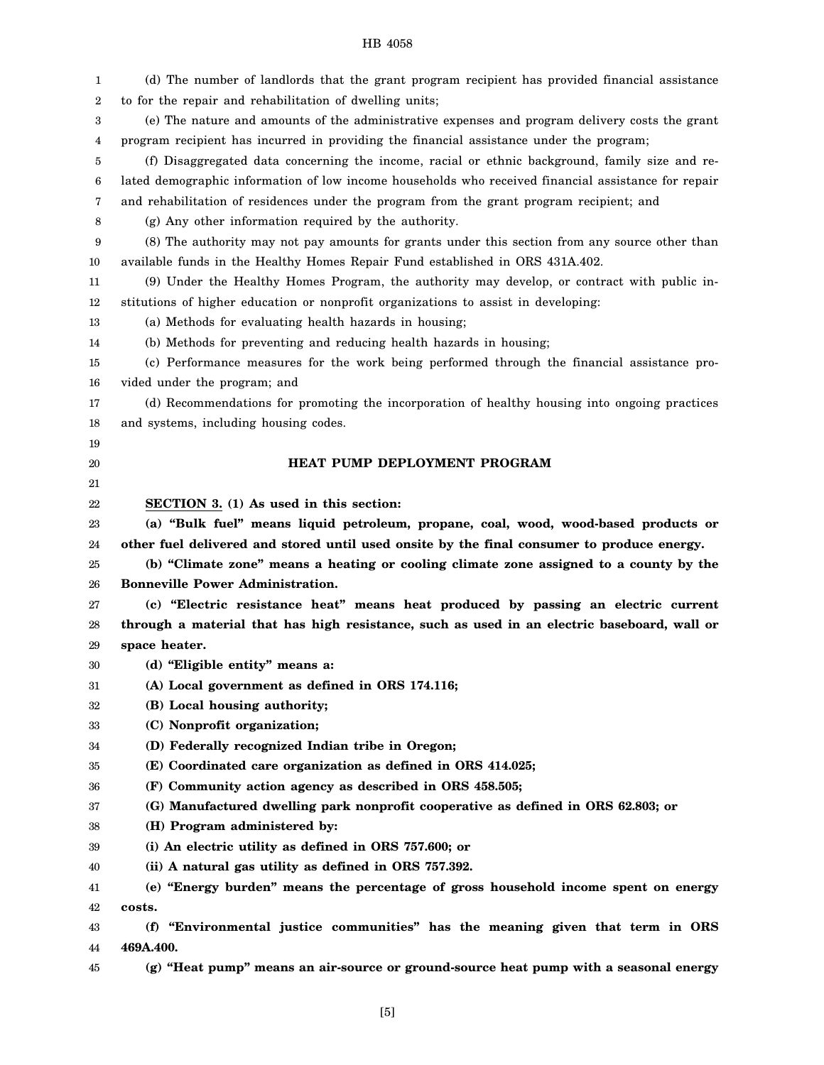| 1        | (d) The number of landlords that the grant program recipient has provided financial assistance      |
|----------|-----------------------------------------------------------------------------------------------------|
| 2        | to for the repair and rehabilitation of dwelling units;                                             |
| 3        | (e) The nature and amounts of the administrative expenses and program delivery costs the grant      |
| 4        | program recipient has incurred in providing the financial assistance under the program;             |
| 5        | (f) Disaggregated data concerning the income, racial or ethnic background, family size and re-      |
| 6        | lated demographic information of low income households who received financial assistance for repair |
| 7        | and rehabilitation of residences under the program from the grant program recipient; and            |
| 8        | (g) Any other information required by the authority.                                                |
| 9        | (8) The authority may not pay amounts for grants under this section from any source other than      |
| 10       | available funds in the Healthy Homes Repair Fund established in ORS 431A.402.                       |
| 11       | (9) Under the Healthy Homes Program, the authority may develop, or contract with public in-         |
| 12       | stitutions of higher education or nonprofit organizations to assist in developing:                  |
| 13       | (a) Methods for evaluating health hazards in housing;                                               |
| 14       | (b) Methods for preventing and reducing health hazards in housing;                                  |
| 15       | (c) Performance measures for the work being performed through the financial assistance pro-         |
| 16       | vided under the program; and                                                                        |
| 17       | (d) Recommendations for promoting the incorporation of healthy housing into ongoing practices       |
| 18       | and systems, including housing codes.                                                               |
| 19       |                                                                                                     |
| 20       | HEAT PUMP DEPLOYMENT PROGRAM                                                                        |
| 21       |                                                                                                     |
| 22       | SECTION 3. (1) As used in this section:                                                             |
| 23       | (a) "Bulk fuel" means liquid petroleum, propane, coal, wood, wood-based products or                 |
| 24       | other fuel delivered and stored until used onsite by the final consumer to produce energy.          |
| 25       | (b) "Climate zone" means a heating or cooling climate zone assigned to a county by the              |
| 26       | <b>Bonneville Power Administration.</b>                                                             |
| 27       | (c) "Electric resistance heat" means heat produced by passing an electric current                   |
| 28       | through a material that has high resistance, such as used in an electric baseboard, wall or         |
| 29       | space heater.                                                                                       |
| 30       |                                                                                                     |
|          | (d) "Eligible entity" means a:                                                                      |
| 31       | (A) Local government as defined in ORS 174.116;                                                     |
| 32       | (B) Local housing authority;                                                                        |
| 33       | (C) Nonprofit organization;                                                                         |
| 34       | (D) Federally recognized Indian tribe in Oregon;                                                    |
| 35       | (E) Coordinated care organization as defined in ORS 414.025;                                        |
| 36       | (F) Community action agency as described in ORS 458.505;                                            |
| 37       | (G) Manufactured dwelling park nonprofit cooperative as defined in ORS 62.803; or                   |
| 38       | (H) Program administered by:                                                                        |
| 39       | (i) An electric utility as defined in ORS 757.600; or                                               |
| 40       | (ii) A natural gas utility as defined in ORS 757.392.                                               |
| 41       | (e) "Energy burden" means the percentage of gross household income spent on energy                  |
| 42       | costs.                                                                                              |
| 43       | "Environmental justice communities" has the meaning given that term in ORS<br>(f)                   |
| 44<br>45 | 469A.400.<br>(g) "Heat pump" means an air-source or ground-source heat pump with a seasonal energy  |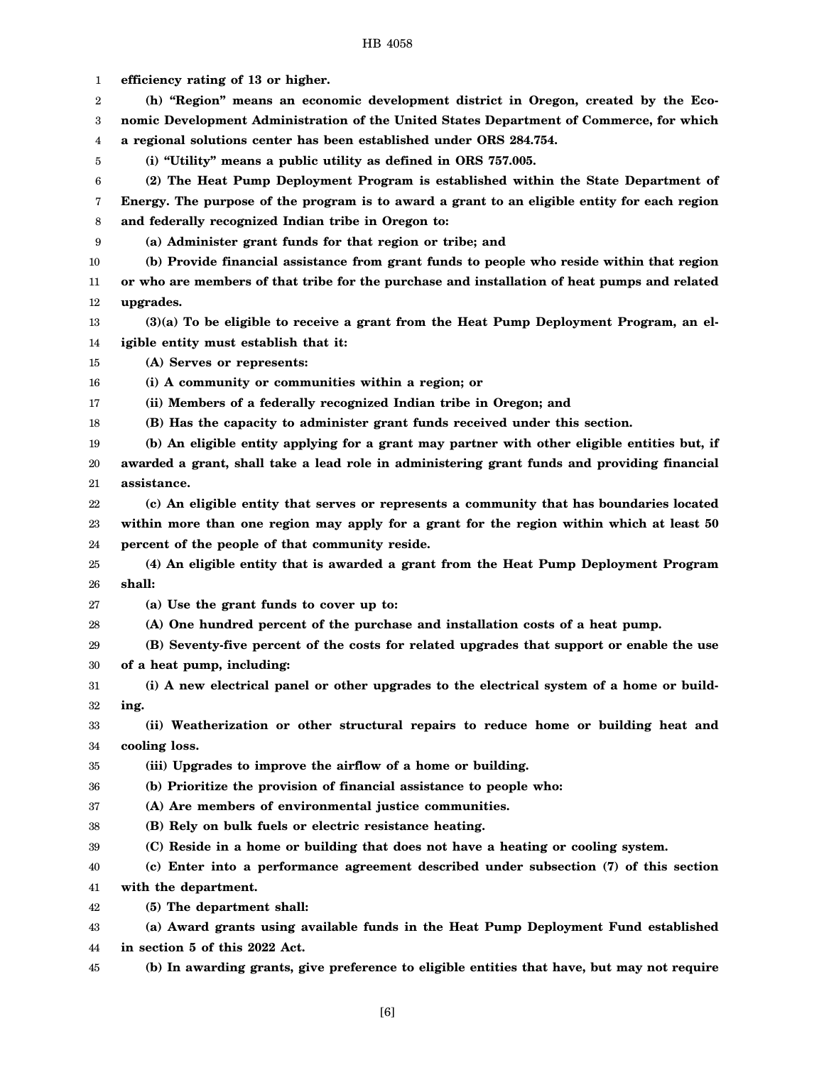| 1  | efficiency rating of 13 or higher.                                                           |
|----|----------------------------------------------------------------------------------------------|
| 2  | (h) "Region" means an economic development district in Oregon, created by the Eco-           |
| 3  | nomic Development Administration of the United States Department of Commerce, for which      |
| 4  | a regional solutions center has been established under ORS 284.754.                          |
| 5  | (i) "Utility" means a public utility as defined in ORS 757.005.                              |
| 6  | (2) The Heat Pump Deployment Program is established within the State Department of           |
| 7  | Energy. The purpose of the program is to award a grant to an eligible entity for each region |
| 8  | and federally recognized Indian tribe in Oregon to:                                          |
| 9  | (a) Administer grant funds for that region or tribe; and                                     |
| 10 | (b) Provide financial assistance from grant funds to people who reside within that region    |
| 11 | or who are members of that tribe for the purchase and installation of heat pumps and related |
| 12 | upgrades.                                                                                    |
| 13 | (3)(a) To be eligible to receive a grant from the Heat Pump Deployment Program, an el-       |
| 14 | igible entity must establish that it:                                                        |
| 15 | (A) Serves or represents:                                                                    |
| 16 | (i) A community or communities within a region; or                                           |
| 17 | (ii) Members of a federally recognized Indian tribe in Oregon; and                           |
| 18 | (B) Has the capacity to administer grant funds received under this section.                  |
| 19 | (b) An eligible entity applying for a grant may partner with other eligible entities but, if |
| 20 | awarded a grant, shall take a lead role in administering grant funds and providing financial |
| 21 | assistance.                                                                                  |
| 22 | (c) An eligible entity that serves or represents a community that has boundaries located     |
| 23 | within more than one region may apply for a grant for the region within which at least 50    |
| 24 | percent of the people of that community reside.                                              |
| 25 | (4) An eligible entity that is awarded a grant from the Heat Pump Deployment Program         |
| 26 | shall:                                                                                       |
| 27 | (a) Use the grant funds to cover up to:                                                      |
| 28 | (A) One hundred percent of the purchase and installation costs of a heat pump.               |
| 29 | (B) Seventy-five percent of the costs for related upgrades that support or enable the use    |
| 30 | of a heat pump, including:                                                                   |
| 31 | (i) A new electrical panel or other upgrades to the electrical system of a home or build-    |
| 32 | ing.                                                                                         |
| 33 | (ii) Weatherization or other structural repairs to reduce home or building heat and          |
| 34 | cooling loss.                                                                                |
| 35 | (iii) Upgrades to improve the airflow of a home or building.                                 |
| 36 | (b) Prioritize the provision of financial assistance to people who:                          |
| 37 | (A) Are members of environmental justice communities.                                        |
| 38 | (B) Rely on bulk fuels or electric resistance heating.                                       |
| 39 | (C) Reside in a home or building that does not have a heating or cooling system.             |
| 40 | (c) Enter into a performance agreement described under subsection (7) of this section        |
| 41 | with the department.                                                                         |
| 42 | (5) The department shall:                                                                    |
| 43 | (a) Award grants using available funds in the Heat Pump Deployment Fund established          |
| 44 | in section 5 of this 2022 Act.                                                               |
| 45 | (b) In awarding grants, give preference to eligible entities that have, but may not require  |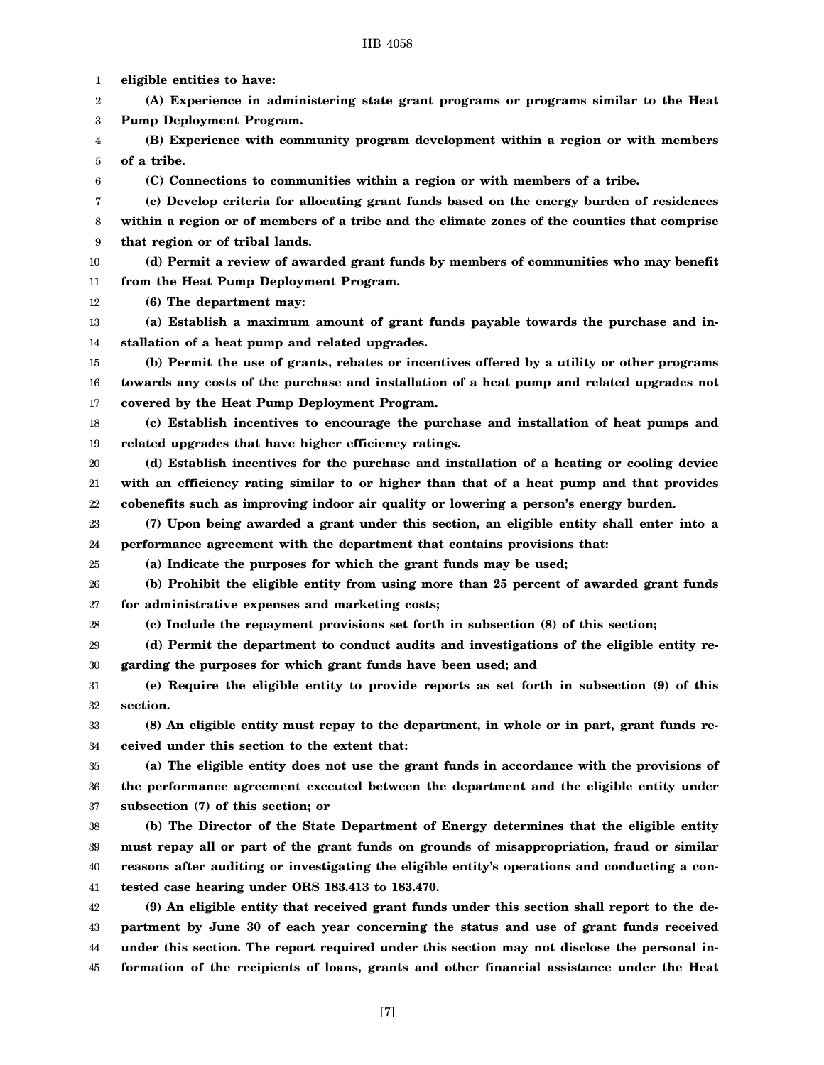1

**eligible entities to have:**

2 3 4 5 6 7 8 9 10 11 12 13 14 15 16 17 18 19 20 21 22 23 24 25 26 27 28 29 30 31 32 33 34 35 36 37 38 39 40 41 42 43 44 45 **(A) Experience in administering state grant programs or programs similar to the Heat Pump Deployment Program. (B) Experience with community program development within a region or with members of a tribe. (C) Connections to communities within a region or with members of a tribe. (c) Develop criteria for allocating grant funds based on the energy burden of residences within a region or of members of a tribe and the climate zones of the counties that comprise that region or of tribal lands. (d) Permit a review of awarded grant funds by members of communities who may benefit from the Heat Pump Deployment Program. (6) The department may: (a) Establish a maximum amount of grant funds payable towards the purchase and installation of a heat pump and related upgrades. (b) Permit the use of grants, rebates or incentives offered by a utility or other programs towards any costs of the purchase and installation of a heat pump and related upgrades not covered by the Heat Pump Deployment Program. (c) Establish incentives to encourage the purchase and installation of heat pumps and related upgrades that have higher efficiency ratings. (d) Establish incentives for the purchase and installation of a heating or cooling device with an efficiency rating similar to or higher than that of a heat pump and that provides cobenefits such as improving indoor air quality or lowering a person's energy burden. (7) Upon being awarded a grant under this section, an eligible entity shall enter into a performance agreement with the department that contains provisions that: (a) Indicate the purposes for which the grant funds may be used; (b) Prohibit the eligible entity from using more than 25 percent of awarded grant funds for administrative expenses and marketing costs; (c) Include the repayment provisions set forth in subsection (8) of this section; (d) Permit the department to conduct audits and investigations of the eligible entity regarding the purposes for which grant funds have been used; and (e) Require the eligible entity to provide reports as set forth in subsection (9) of this section. (8) An eligible entity must repay to the department, in whole or in part, grant funds received under this section to the extent that: (a) The eligible entity does not use the grant funds in accordance with the provisions of the performance agreement executed between the department and the eligible entity under subsection (7) of this section; or (b) The Director of the State Department of Energy determines that the eligible entity must repay all or part of the grant funds on grounds of misappropriation, fraud or similar reasons after auditing or investigating the eligible entity's operations and conducting a contested case hearing under ORS 183.413 to 183.470. (9) An eligible entity that received grant funds under this section shall report to the department by June 30 of each year concerning the status and use of grant funds received under this section. The report required under this section may not disclose the personal information of the recipients of loans, grants and other financial assistance under the Heat** [7]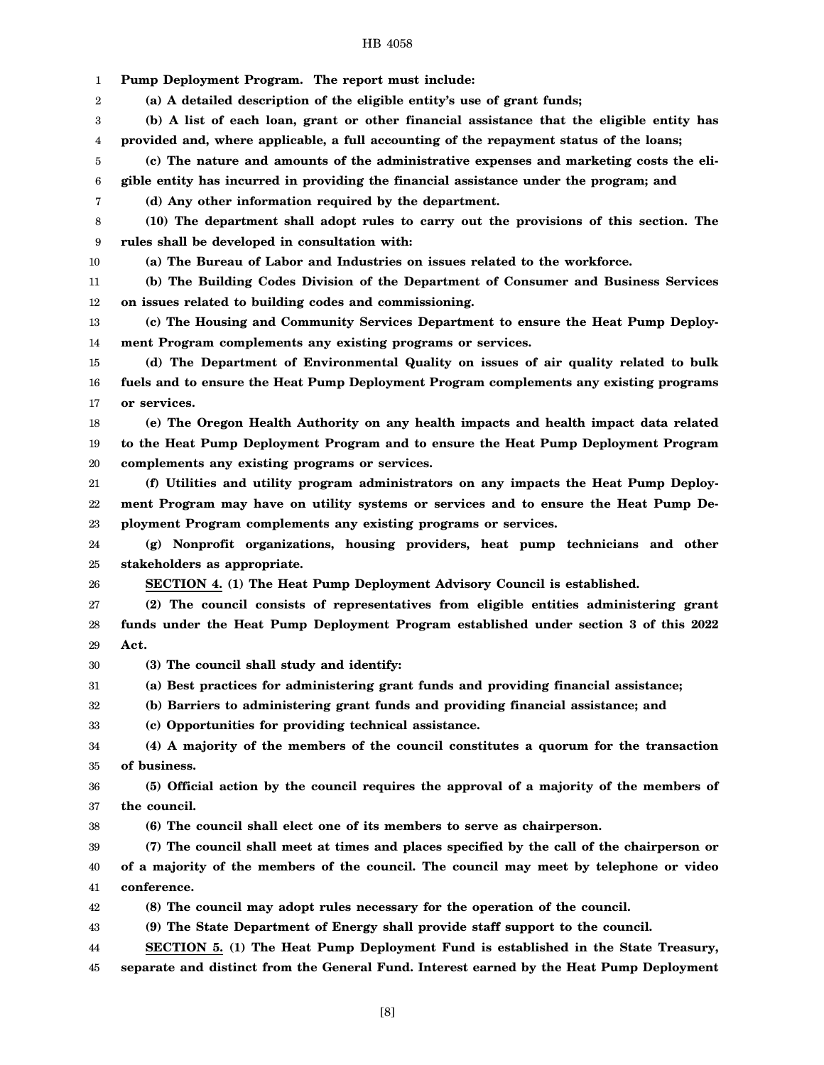1 **Pump Deployment Program. The report must include:**

2 **(a) A detailed description of the eligible entity's use of grant funds;**

3 4 **(b) A list of each loan, grant or other financial assistance that the eligible entity has provided and, where applicable, a full accounting of the repayment status of the loans;**

5 **(c) The nature and amounts of the administrative expenses and marketing costs the eli-**

6 **gible entity has incurred in providing the financial assistance under the program; and**

**(d) Any other information required by the department.**

8 9 **(10) The department shall adopt rules to carry out the provisions of this section. The rules shall be developed in consultation with:**

10

7

**(a) The Bureau of Labor and Industries on issues related to the workforce.**

11 12 **(b) The Building Codes Division of the Department of Consumer and Business Services on issues related to building codes and commissioning.**

13 14 **(c) The Housing and Community Services Department to ensure the Heat Pump Deployment Program complements any existing programs or services.**

15 16 17 **(d) The Department of Environmental Quality on issues of air quality related to bulk fuels and to ensure the Heat Pump Deployment Program complements any existing programs or services.**

18 19 20 **(e) The Oregon Health Authority on any health impacts and health impact data related to the Heat Pump Deployment Program and to ensure the Heat Pump Deployment Program complements any existing programs or services.**

21 22 23 **(f) Utilities and utility program administrators on any impacts the Heat Pump Deployment Program may have on utility systems or services and to ensure the Heat Pump Deployment Program complements any existing programs or services.**

24 25 **(g) Nonprofit organizations, housing providers, heat pump technicians and other stakeholders as appropriate.**

26

**SECTION 4. (1) The Heat Pump Deployment Advisory Council is established.**

27 28 29 **(2) The council consists of representatives from eligible entities administering grant funds under the Heat Pump Deployment Program established under section 3 of this 2022 Act.**

30 **(3) The council shall study and identify:**

31 **(a) Best practices for administering grant funds and providing financial assistance;**

32 **(b) Barriers to administering grant funds and providing financial assistance; and**

33 **(c) Opportunities for providing technical assistance.**

34 35 **(4) A majority of the members of the council constitutes a quorum for the transaction of business.**

36 37 **(5) Official action by the council requires the approval of a majority of the members of the council.**

38 **(6) The council shall elect one of its members to serve as chairperson.**

39 40 41 **(7) The council shall meet at times and places specified by the call of the chairperson or of a majority of the members of the council. The council may meet by telephone or video conference.**

42 **(8) The council may adopt rules necessary for the operation of the council.**

43 **(9) The State Department of Energy shall provide staff support to the council.**

44 **SECTION 5. (1) The Heat Pump Deployment Fund is established in the State Treasury,**

45 **separate and distinct from the General Fund. Interest earned by the Heat Pump Deployment**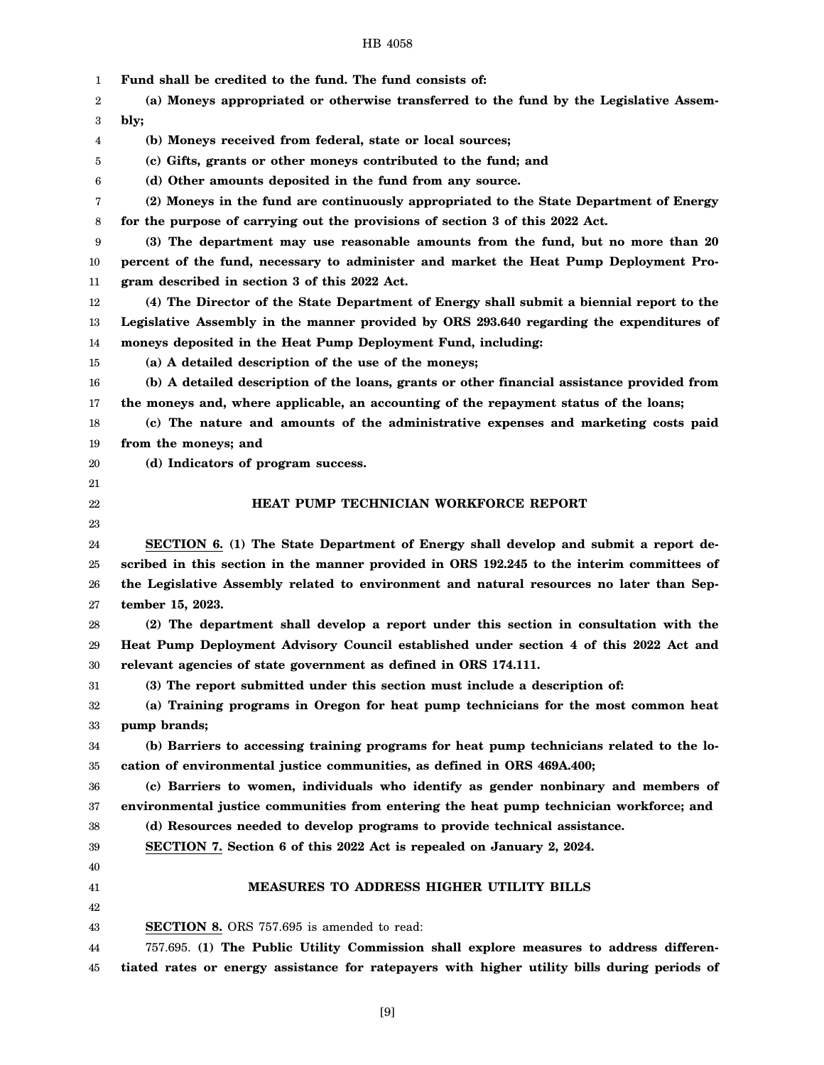| 1        | Fund shall be credited to the fund. The fund consists of:                                    |
|----------|----------------------------------------------------------------------------------------------|
| 2        | (a) Moneys appropriated or otherwise transferred to the fund by the Legislative Assem-       |
| 3        | bly;                                                                                         |
| 4        | (b) Moneys received from federal, state or local sources;                                    |
| 5        | (c) Gifts, grants or other moneys contributed to the fund; and                               |
| 6        | (d) Other amounts deposited in the fund from any source.                                     |
| 7        | (2) Moneys in the fund are continuously appropriated to the State Department of Energy       |
| 8        | for the purpose of carrying out the provisions of section 3 of this 2022 Act.                |
| 9        | (3) The department may use reasonable amounts from the fund, but no more than 20             |
| 10       | percent of the fund, necessary to administer and market the Heat Pump Deployment Pro-        |
| 11       | gram described in section 3 of this 2022 Act.                                                |
| 12       | (4) The Director of the State Department of Energy shall submit a biennial report to the     |
| 13       | Legislative Assembly in the manner provided by ORS 293.640 regarding the expenditures of     |
| 14       | moneys deposited in the Heat Pump Deployment Fund, including:                                |
| 15       | (a) A detailed description of the use of the moneys;                                         |
| 16       | (b) A detailed description of the loans, grants or other financial assistance provided from  |
| 17       | the moneys and, where applicable, an accounting of the repayment status of the loans;        |
| 18       | (c) The nature and amounts of the administrative expenses and marketing costs paid           |
| 19       | from the moneys; and                                                                         |
| 20       | (d) Indicators of program success.                                                           |
| 21       |                                                                                              |
| 22       | HEAT PUMP TECHNICIAN WORKFORCE REPORT                                                        |
| 23       |                                                                                              |
| 24       | SECTION 6. (1) The State Department of Energy shall develop and submit a report de-          |
| 25       | scribed in this section in the manner provided in ORS 192.245 to the interim committees of   |
| 26       | the Legislative Assembly related to environment and natural resources no later than Sep-     |
| 27       | tember 15, 2023.                                                                             |
| 28       | (2) The department shall develop a report under this section in consultation with the        |
| 29       | Heat Pump Deployment Advisory Council established under section 4 of this 2022 Act and       |
| 30       | relevant agencies of state government as defined in ORS 174.111.                             |
| 31       | (3) The report submitted under this section must include a description of:                   |
| 32       | (a) Training programs in Oregon for heat pump technicians for the most common heat           |
| 33       | pump brands;                                                                                 |
| 34       | (b) Barriers to accessing training programs for heat pump technicians related to the lo-     |
| 35       | cation of environmental justice communities, as defined in ORS 469A.400;                     |
| 36       | (c) Barriers to women, individuals who identify as gender nonbinary and members of           |
| 37       | environmental justice communities from entering the heat pump technician workforce; and      |
| 38       | (d) Resources needed to develop programs to provide technical assistance.                    |
| 39       | SECTION 7. Section 6 of this 2022 Act is repealed on January 2, 2024.                        |
| 40       |                                                                                              |
| 41       | <b>MEASURES TO ADDRESS HIGHER UTILITY BILLS</b>                                              |
| 42<br>43 | SECTION 8. ORS 757.695 is amended to read:                                                   |
|          | 757.695. (1) The Public Utility Commission shall explore measures to address differen-       |
| 44       | tiated rates or energy assistance for ratepayers with higher utility bills during periods of |
| 45       |                                                                                              |